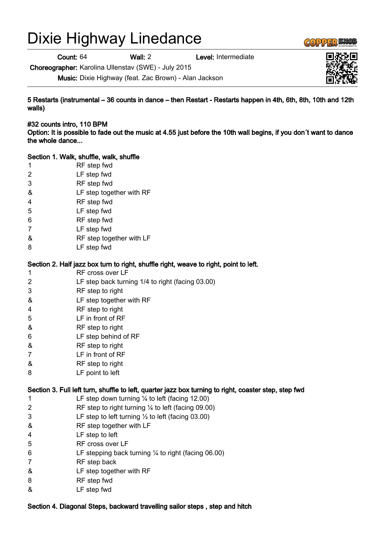# Dixie Highway Linedance

Count: 64 Wall: 2 Level: Intermediate

Choreographer: Karolina Ullenstav (SWE) - July 2015

Music: Dixie Highway (feat. Zac Brown) - Alan Jackson

5 Restarts (instrumental – 36 counts in dance – then Restart - Restarts happen in 4th, 6th, 8th, 10th and 12th walls)

#32 counts intro, 110 BPM Option: It is possible to fade out the music at 4.55 just before the 10th wall begins, if you don´t want to dance the whole dance...

#### Section 1. Walk, shuffle, walk, shuffle

- 1 RF step fwd
- 2 LF step fwd
- 3 RF step fwd
- & LF step together with RF
- 4 RF step fwd
- 5 LF step fwd
- 6 RF step fwd
- 7 LF step fwd
- & RF step together with LF
- 8 LF step fwd

#### Section 2. Half jazz box turn to right, shuffle right, weave to right, point to left.

- 1 RF cross over LF
- 2 LF step back turning 1/4 to right (facing 03.00)
- 3 RF step to right
- & LF step together with RF
- 4 RF step to right
- 5 LF in front of RF
- & RF step to right
- 6 LF step behind of RF
- & RF step to right
- 7 LF in front of RF
- & RF step to right
- 8 LF point to left

## Section 3. Full left turn, shuffle to left, quarter jazz box turning to right, coaster step, step fwd

- 1 LF step down turning ¼ to left (facing 12.00)
- 2 RF step to right turning ¼ to left (facing 09.00)
- 3 LF step to left turning ½ to left (facing 03.00)
- & RF step together with LF
- 4 LF step to left
- 5 RF cross over LF
- 6 LF stepping back turning ¼ to right (facing 06.00)
- 7 RF step back
- & LF step together with RF
- 8 RF step fwd
- & LF step fwd

## Section 4. Diagonal Steps, backward travelling sailor steps , step and hitch



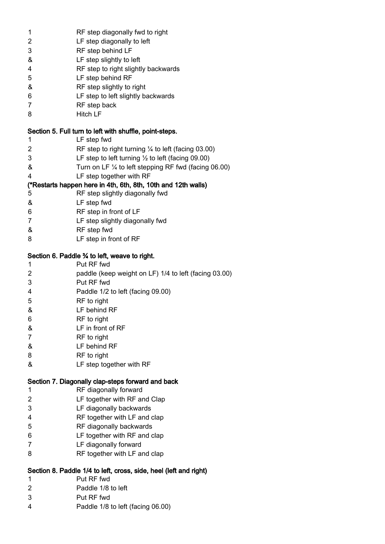| 1                                                       | RF step diagonally fwd to right                                   |  |
|---------------------------------------------------------|-------------------------------------------------------------------|--|
| 2                                                       | LF step diagonally to left                                        |  |
| 3                                                       | RF step behind LF                                                 |  |
| &                                                       | LF step slightly to left                                          |  |
| 4                                                       | RF step to right slightly backwards                               |  |
| 5                                                       | LF step behind RF                                                 |  |
| &                                                       | RF step slightly to right                                         |  |
| 6                                                       | LF step to left slightly backwards                                |  |
|                                                         |                                                                   |  |
| 7                                                       | RF step back                                                      |  |
| 8                                                       | <b>Hitch LF</b>                                                   |  |
| Section 5. Full turn to left with shuffle, point-steps. |                                                                   |  |
| 1                                                       | LF step fwd                                                       |  |
| 2                                                       | RF step to right turning $\frac{1}{4}$ to left (facing 03.00)     |  |
| 3                                                       | LF step to left turning $\frac{1}{2}$ to left (facing 09.00)      |  |
| &                                                       | Turn on LF 1/4 to left stepping RF fwd (facing 06.00)             |  |
| 4                                                       | LF step together with RF                                          |  |
|                                                         | (*Restarts happen here in 4th, 6th, 8th, 10th and 12th walls)     |  |
| 5                                                       | RF step slightly diagonally fwd                                   |  |
| &                                                       |                                                                   |  |
|                                                         | LF step fwd                                                       |  |
| 6                                                       | RF step in front of LF                                            |  |
| $\overline{7}$                                          | LF step slightly diagonally fwd                                   |  |
| &                                                       | RF step fwd                                                       |  |
| 8                                                       | LF step in front of RF                                            |  |
| Section 6. Paddle 3⁄4 to left, weave to right.          |                                                                   |  |
| 1                                                       | Put RF fwd                                                        |  |
|                                                         |                                                                   |  |
| 2                                                       | paddle (keep weight on LF) 1/4 to left (facing 03.00)             |  |
| 3                                                       | Put RF fwd                                                        |  |
| 4                                                       | Paddle 1/2 to left (facing 09.00)                                 |  |
| 5                                                       | RF to right                                                       |  |
| &                                                       | LF behind RF                                                      |  |
| 6                                                       | RF to right                                                       |  |
| &                                                       | LF in front of RF                                                 |  |
| 7                                                       | RF to right                                                       |  |
| &                                                       | LF behind RF                                                      |  |
| 8                                                       | RF to right                                                       |  |
| &                                                       | LF step together with RF                                          |  |
|                                                         |                                                                   |  |
|                                                         |                                                                   |  |
|                                                         | Section 7. Diagonally clap-steps forward and back                 |  |
| 1                                                       | RF diagonally forward                                             |  |
| 2                                                       | LF together with RF and Clap                                      |  |
| 3                                                       | LF diagonally backwards                                           |  |
| 4                                                       | RF together with LF and clap                                      |  |
| 5                                                       | RF diagonally backwards                                           |  |
| 6                                                       | LF together with RF and clap                                      |  |
| 7                                                       | LF diagonally forward                                             |  |
| 8                                                       | RF together with LF and clap                                      |  |
|                                                         |                                                                   |  |
|                                                         | Section 8. Paddle 1/4 to left, cross, side, heel (left and right) |  |
| 1                                                       | Put RF fwd                                                        |  |
| 2                                                       | Paddle 1/8 to left                                                |  |
| 3                                                       | Put RF fwd                                                        |  |